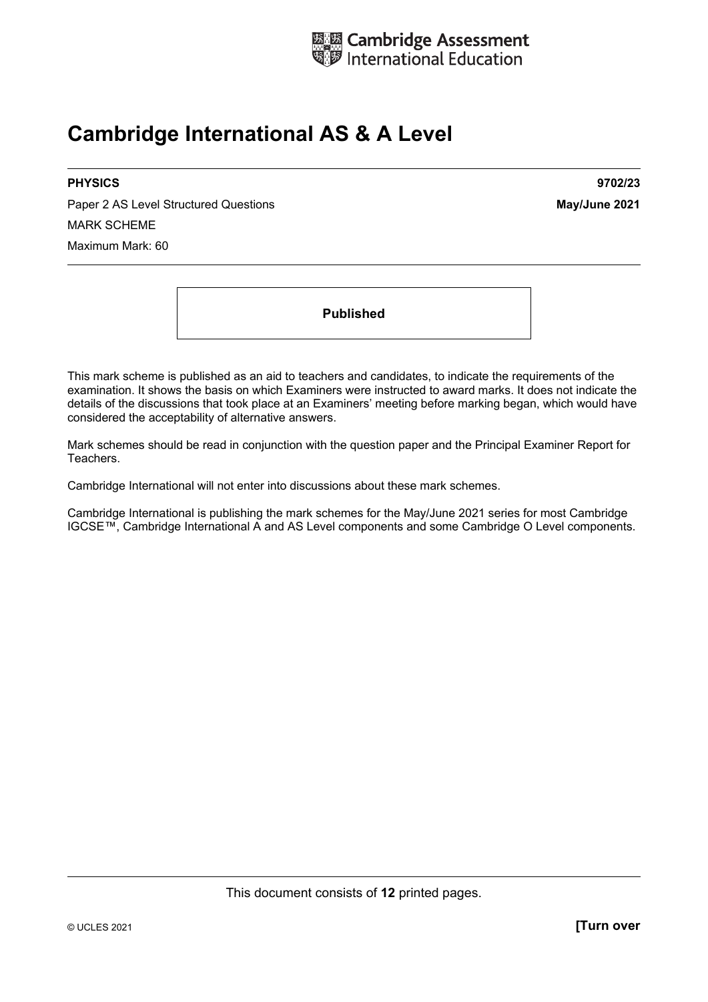

# **Cambridge International AS & A Level**

Paper 2 AS Level Structured Questions **May/June 2021** MARK SCHEME Maximum Mark: 60

**PHYSICS 9702/23** 

**Published** 

This mark scheme is published as an aid to teachers and candidates, to indicate the requirements of the examination. It shows the basis on which Examiners were instructed to award marks. It does not indicate the details of the discussions that took place at an Examiners' meeting before marking began, which would have considered the acceptability of alternative answers.

Mark schemes should be read in conjunction with the question paper and the Principal Examiner Report for Teachers.

Cambridge International will not enter into discussions about these mark schemes.

Cambridge International is publishing the mark schemes for the May/June 2021 series for most Cambridge IGCSE™, Cambridge International A and AS Level components and some Cambridge O Level components.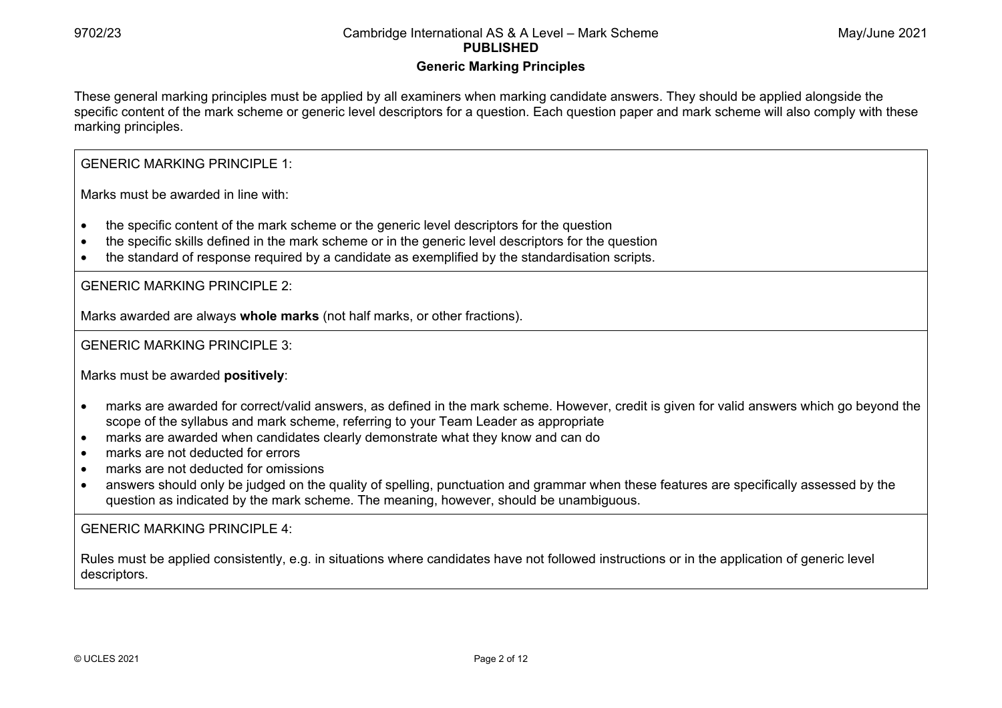#### **Generic Marking Principles**

These general marking principles must be applied by all examiners when marking candidate answers. They should be applied alongside the specific content of the mark scheme or generic level descriptors for a question. Each question paper and mark scheme will also comply with these marking principles.

#### GENERIC MARKING PRINCIPLE 1:

Marks must be awarded in line with:

- the specific content of the mark scheme or the generic level descriptors for the question
- the specific skills defined in the mark scheme or in the generic level descriptors for the question
- the standard of response required by a candidate as exemplified by the standardisation scripts.

GENERIC MARKING PRINCIPLE 2:

Marks awarded are always **whole marks** (not half marks, or other fractions).

#### GENERIC MARKING PRINCIPLE 3:

Marks must be awarded **positively**:

- marks are awarded for correct/valid answers, as defined in the mark scheme. However, credit is given for valid answers which go beyond the scope of the syllabus and mark scheme, referring to your Team Leader as appropriate
- marks are awarded when candidates clearly demonstrate what they know and can do
- marks are not deducted for errors
- marks are not deducted for omissions
- answers should only be judged on the quality of spelling, punctuation and grammar when these features are specifically assessed by the question as indicated by the mark scheme. The meaning, however, should be unambiguous.

#### GENERIC MARKING PRINCIPLE  $4<sup>T</sup>$

Rules must be applied consistently, e.g. in situations where candidates have not followed instructions or in the application of generic level descriptors.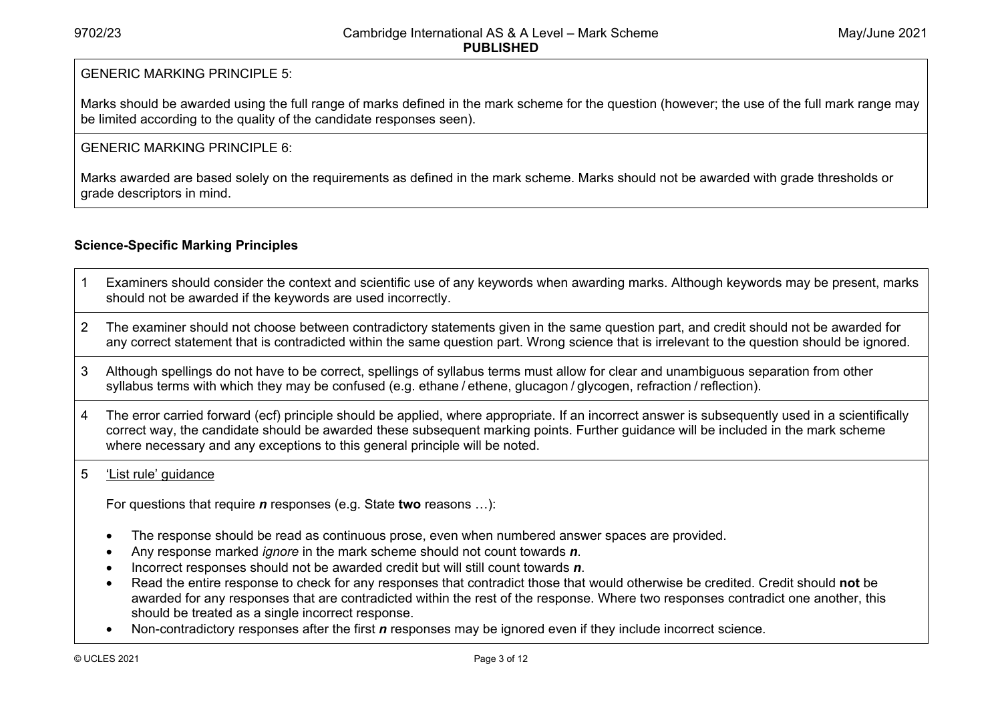#### GENERIC MARKING PRINCIPLE 5:

Marks should be awarded using the full range of marks defined in the mark scheme for the question (however; the use of the full mark range may be limited according to the quality of the candidate responses seen).

#### GENERIC MARKING PRINCIPLE 6:

Marks awarded are based solely on the requirements as defined in the mark scheme. Marks should not be awarded with grade thresholds or grade descriptors in mind.

### **Science-Specific Marking Principles**

- 1 Examiners should consider the context and scientific use of any keywords when awarding marks. Although keywords may be present, marks should not be awarded if the keywords are used incorrectly.
- 2 The examiner should not choose between contradictory statements given in the same question part, and credit should not be awarded for any correct statement that is contradicted within the same question part. Wrong science that is irrelevant to the question should be ignored.
- 3 Although spellings do not have to be correct, spellings of syllabus terms must allow for clear and unambiguous separation from other syllabus terms with which they may be confused (e.g. ethane / ethene, glucagon / glycogen, refraction / reflection).
- 4 The error carried forward (ecf) principle should be applied, where appropriate. If an incorrect answer is subsequently used in a scientifically correct way, the candidate should be awarded these subsequent marking points. Further guidance will be included in the mark scheme where necessary and any exceptions to this general principle will be noted.

#### 5 'List rule' guidance

For questions that require *<sup>n</sup>* responses (e.g. State **two** reasons …):

- The response should be read as continuous prose, even when numbered answer spaces are provided.
- Any response marked *ignore* in the mark scheme should not count towards *n*.
- Incorrect responses should not be awarded credit but will still count towards *n*.
- Read the entire response to check for any responses that contradict those that would otherwise be credited. Credit should **not** be awarded for any responses that are contradicted within the rest of the response. Where two responses contradict one another, this should be treated as a single incorrect response.
- Non-contradictory responses after the first *n* responses may be ignored even if they include incorrect science.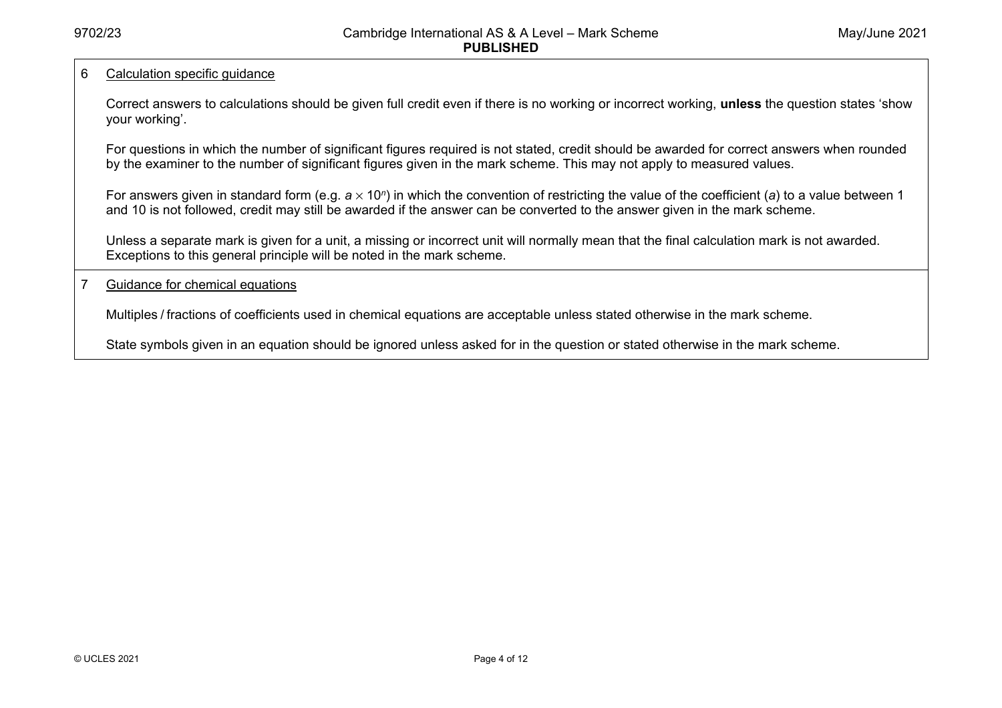#### 6 Calculation specific guidance

Correct answers to calculations should be given full credit even if there is no working or incorrect working, **unless** the question states 'show your working'.

For questions in which the number of significant figures required is not stated, credit should be awarded for correct answers when rounded by the examiner to the number of significant figures given in the mark scheme. This may not apply to measured values.

For answers given in standard form (e.g. *a* × 10<sup>*n*</sup>) in which the convention of restricting the value of the coefficient (*a*) to a value between 1 and 10 is not followed, credit may still be awarded if the answer can be converted to the answer given in the mark scheme.

Unless a separate mark is given for a unit, a missing or incorrect unit will normally mean that the final calculation mark is not awarded. Exceptions to this general principle will be noted in the mark scheme.

#### 7 Guidance for chemical equations

Multiples / fractions of coefficients used in chemical equations are acceptable unless stated otherwise in the mark scheme.

State symbols given in an equation should be ignored unless asked for in the question or stated otherwise in the mark scheme.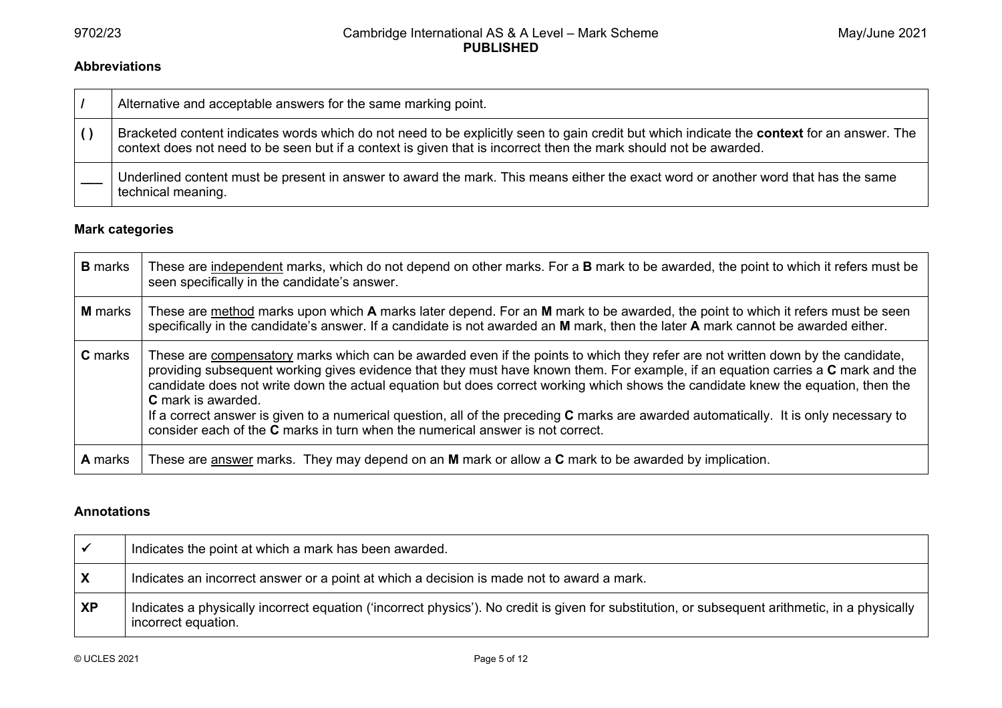#### **Abbreviations**

|                  | Alternative and acceptable answers for the same marking point.                                                                                                                                                                                                  |
|------------------|-----------------------------------------------------------------------------------------------------------------------------------------------------------------------------------------------------------------------------------------------------------------|
| $\left( \right)$ | Bracketed content indicates words which do not need to be explicitly seen to gain credit but which indicate the context for an answer. The<br>context does not need to be seen but if a context is given that is incorrect then the mark should not be awarded. |
|                  | Underlined content must be present in answer to award the mark. This means either the exact word or another word that has the same<br>technical meaning.                                                                                                        |

#### **Mark categories**

| <b>B</b> marks | These are independent marks, which do not depend on other marks. For a <b>B</b> mark to be awarded, the point to which it refers must be<br>seen specifically in the candidate's answer.                                                                                                                                                                                                                                                                                                                                                                                                                                                                        |
|----------------|-----------------------------------------------------------------------------------------------------------------------------------------------------------------------------------------------------------------------------------------------------------------------------------------------------------------------------------------------------------------------------------------------------------------------------------------------------------------------------------------------------------------------------------------------------------------------------------------------------------------------------------------------------------------|
| <b>M</b> marks | These are method marks upon which A marks later depend. For an M mark to be awarded, the point to which it refers must be seen<br>specifically in the candidate's answer. If a candidate is not awarded an M mark, then the later A mark cannot be awarded either.                                                                                                                                                                                                                                                                                                                                                                                              |
| <b>C</b> marks | These are compensatory marks which can be awarded even if the points to which they refer are not written down by the candidate,<br>providing subsequent working gives evidence that they must have known them. For example, if an equation carries a C mark and the<br>candidate does not write down the actual equation but does correct working which shows the candidate knew the equation, then the<br><b>C</b> mark is awarded.<br>If a correct answer is given to a numerical question, all of the preceding C marks are awarded automatically. It is only necessary to<br>consider each of the C marks in turn when the numerical answer is not correct. |
| <b>A</b> marks | These are answer marks. They may depend on an $M$ mark or allow a $C$ mark to be awarded by implication.                                                                                                                                                                                                                                                                                                                                                                                                                                                                                                                                                        |

#### **Annotations**

|           | Indicates the point at which a mark has been awarded.                                                                                                                  |
|-----------|------------------------------------------------------------------------------------------------------------------------------------------------------------------------|
| X         | Indicates an incorrect answer or a point at which a decision is made not to award a mark.                                                                              |
| <b>XP</b> | Indicates a physically incorrect equation ('incorrect physics'). No credit is given for substitution, or subsequent arithmetic, in a physically<br>incorrect equation. |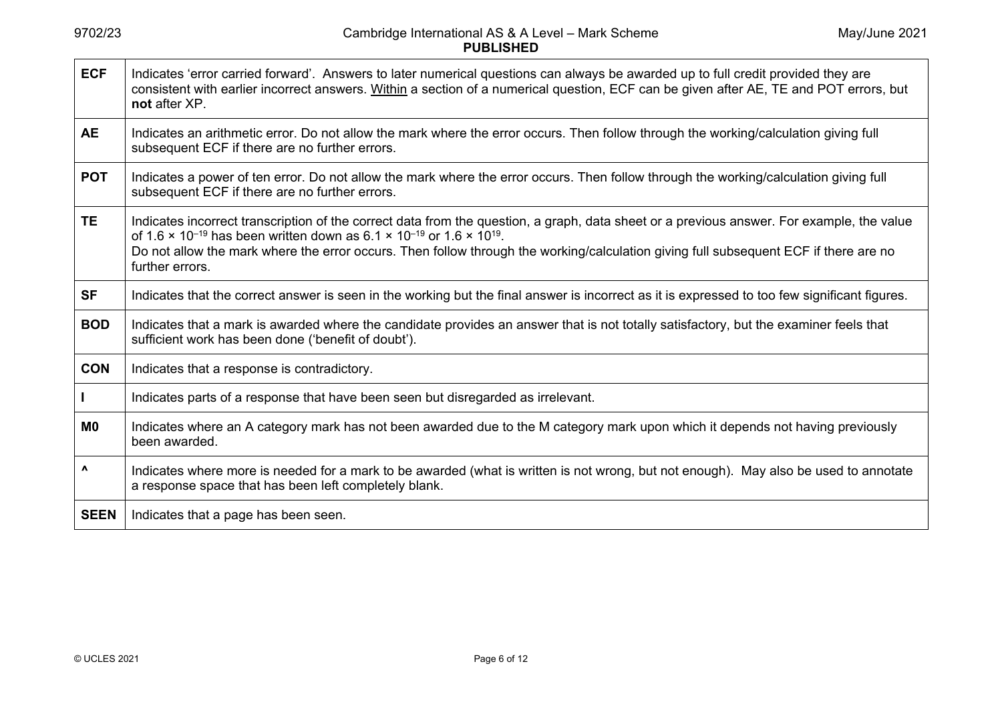| <b>ECF</b>     | Indicates 'error carried forward'. Answers to later numerical questions can always be awarded up to full credit provided they are<br>consistent with earlier incorrect answers. Within a section of a numerical question, ECF can be given after AE, TE and POT errors, but<br>not after XP.                                                                                                                                         |
|----------------|--------------------------------------------------------------------------------------------------------------------------------------------------------------------------------------------------------------------------------------------------------------------------------------------------------------------------------------------------------------------------------------------------------------------------------------|
| <b>AE</b>      | Indicates an arithmetic error. Do not allow the mark where the error occurs. Then follow through the working/calculation giving full<br>subsequent ECF if there are no further errors.                                                                                                                                                                                                                                               |
| <b>POT</b>     | Indicates a power of ten error. Do not allow the mark where the error occurs. Then follow through the working/calculation giving full<br>subsequent ECF if there are no further errors.                                                                                                                                                                                                                                              |
| <b>TE</b>      | Indicates incorrect transcription of the correct data from the question, a graph, data sheet or a previous answer. For example, the value<br>of 1.6 $\times$ 10 <sup>-19</sup> has been written down as 6.1 $\times$ 10 <sup>-19</sup> or 1.6 $\times$ 10 <sup>19</sup> .<br>Do not allow the mark where the error occurs. Then follow through the working/calculation giving full subsequent ECF if there are no<br>further errors. |
| <b>SF</b>      | Indicates that the correct answer is seen in the working but the final answer is incorrect as it is expressed to too few significant figures.                                                                                                                                                                                                                                                                                        |
| <b>BOD</b>     | Indicates that a mark is awarded where the candidate provides an answer that is not totally satisfactory, but the examiner feels that<br>sufficient work has been done ('benefit of doubt').                                                                                                                                                                                                                                         |
| <b>CON</b>     | Indicates that a response is contradictory.                                                                                                                                                                                                                                                                                                                                                                                          |
|                | Indicates parts of a response that have been seen but disregarded as irrelevant.                                                                                                                                                                                                                                                                                                                                                     |
| M <sub>0</sub> | Indicates where an A category mark has not been awarded due to the M category mark upon which it depends not having previously<br>been awarded.                                                                                                                                                                                                                                                                                      |
| ۸              | Indicates where more is needed for a mark to be awarded (what is written is not wrong, but not enough). May also be used to annotate<br>a response space that has been left completely blank.                                                                                                                                                                                                                                        |
| <b>SEEN</b>    | Indicates that a page has been seen.                                                                                                                                                                                                                                                                                                                                                                                                 |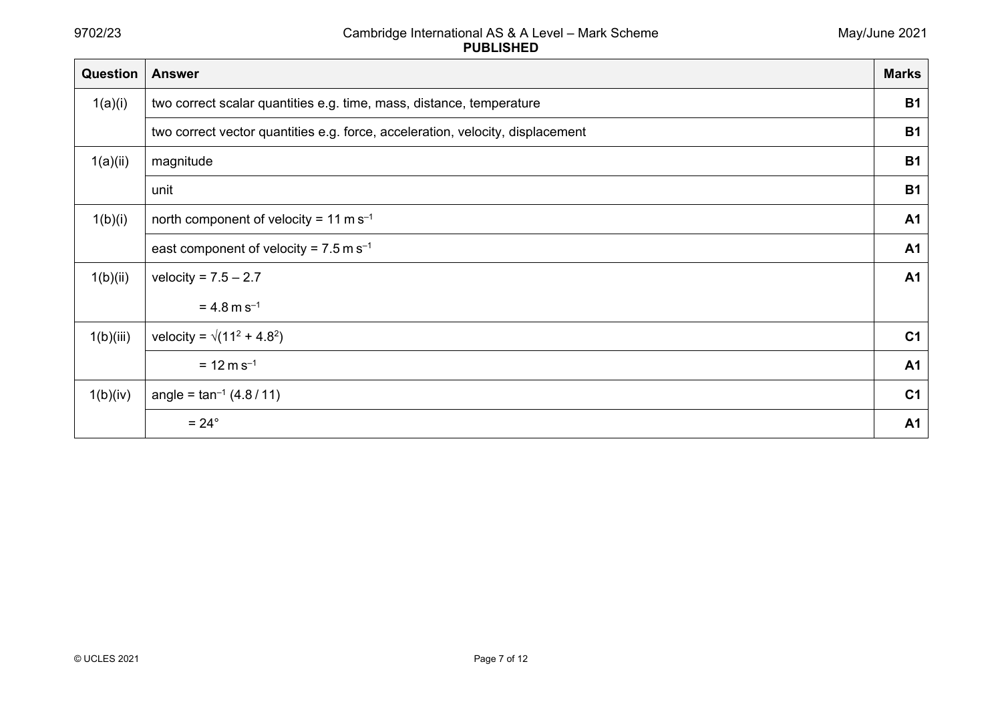| Question  | <b>Answer</b>                                                                  | <b>Marks</b>   |
|-----------|--------------------------------------------------------------------------------|----------------|
| 1(a)(i)   | two correct scalar quantities e.g. time, mass, distance, temperature           | <b>B1</b>      |
|           | two correct vector quantities e.g. force, acceleration, velocity, displacement | <b>B1</b>      |
| 1(a)(ii)  | magnitude                                                                      | <b>B1</b>      |
|           | unit                                                                           | <b>B1</b>      |
| 1(b)(i)   | north component of velocity = 11 m s <sup>-1</sup>                             | A <sub>1</sub> |
|           | east component of velocity = $7.5$ m s <sup>-1</sup>                           | <b>A1</b>      |
| 1(b)(ii)  | velocity = $7.5 - 2.7$                                                         | <b>A1</b>      |
|           | $= 4.8$ m s <sup>-1</sup>                                                      |                |
| 1(b)(iii) | velocity = $\sqrt{(11^2 + 4.8^2)}$                                             | C <sub>1</sub> |
|           | $= 12 \text{ m s}^{-1}$                                                        | <b>A1</b>      |
| 1(b)(iv)  | angle = $\tan^{-1}(4.8/11)$                                                    | C <sub>1</sub> |
|           | $= 24^{\circ}$                                                                 | A <sub>1</sub> |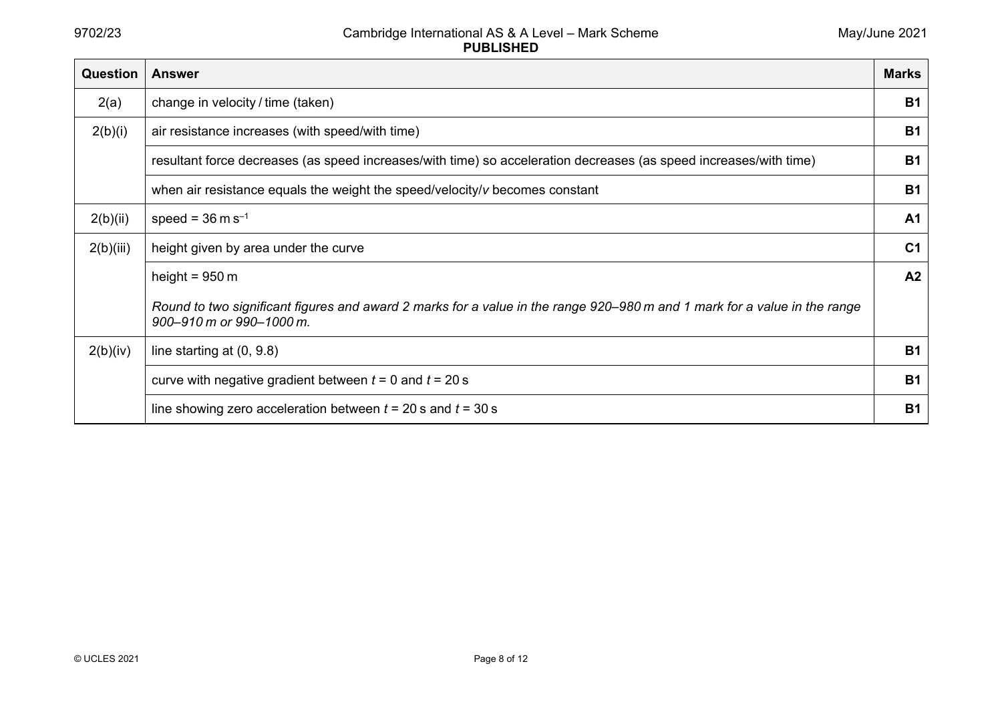| <b>Question</b> | <b>Answer</b>                                                                                                                                         | <b>Marks</b>   |
|-----------------|-------------------------------------------------------------------------------------------------------------------------------------------------------|----------------|
| 2(a)            | change in velocity / time (taken)                                                                                                                     | <b>B1</b>      |
| 2(b)(i)         | air resistance increases (with speed/with time)                                                                                                       | <b>B1</b>      |
|                 | resultant force decreases (as speed increases/with time) so acceleration decreases (as speed increases/with time)                                     | <b>B1</b>      |
|                 | when air resistance equals the weight the speed/velocity/v becomes constant                                                                           | <b>B1</b>      |
| 2(b)(ii)        | speed = $36 \text{ m s}^{-1}$                                                                                                                         | A <sub>1</sub> |
| 2(b)(iii)       | height given by area under the curve                                                                                                                  | C <sub>1</sub> |
|                 | height = $950 \text{ m}$                                                                                                                              | A2             |
|                 | Round to two significant figures and award 2 marks for a value in the range 920–980 m and 1 mark for a value in the range<br>900-910 m or 990-1000 m. |                |
| 2(b)(iv)        | line starting at $(0, 9.8)$                                                                                                                           | <b>B1</b>      |
|                 | curve with negative gradient between $t = 0$ and $t = 20$ s                                                                                           | <b>B1</b>      |
|                 | line showing zero acceleration between $t = 20$ s and $t = 30$ s                                                                                      | <b>B1</b>      |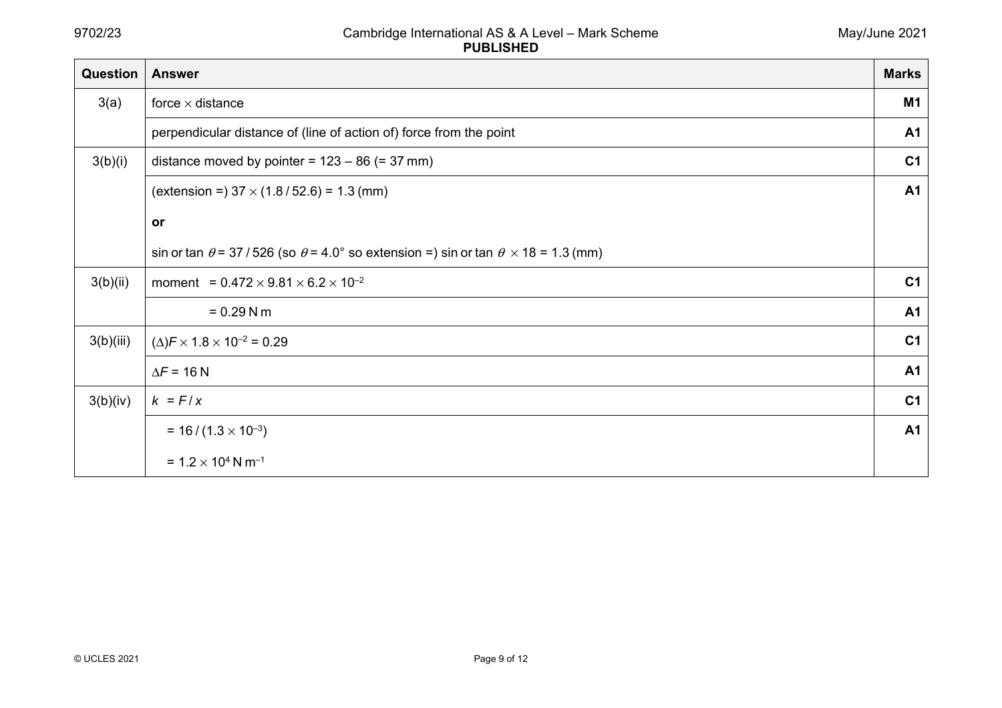| Question  | <b>Answer</b>                                                                                        | <b>Marks</b>   |
|-----------|------------------------------------------------------------------------------------------------------|----------------|
| 3(a)      | force $\times$ distance                                                                              | M1             |
|           | perpendicular distance of (line of action of) force from the point                                   | A <sub>1</sub> |
| 3(b)(i)   | distance moved by pointer = $123 - 86$ (= 37 mm)                                                     | C <sub>1</sub> |
|           | (extension = $37 \times (1.8 / 52.6) = 1.3$ (mm)                                                     | <b>A1</b>      |
|           | or                                                                                                   |                |
|           | sin or tan $\theta$ = 37/526 (so $\theta$ = 4.0° so extension =) sin or tan $\theta$ × 18 = 1.3 (mm) |                |
| 3(b)(ii)  | moment = $0.472 \times 9.81 \times 6.2 \times 10^{-2}$                                               | C <sub>1</sub> |
|           | $= 0.29$ N m                                                                                         | <b>A1</b>      |
| 3(b)(iii) | $(\Delta)$ F × 1.8 × 10 <sup>-2</sup> = 0.29                                                         | C <sub>1</sub> |
|           | $\Delta F = 16 N$                                                                                    | A <sub>1</sub> |
| 3(b)(iv)  | $k = F/x$                                                                                            | C <sub>1</sub> |
|           | $= 16 / (1.3 \times 10^{-3})$                                                                        | <b>A1</b>      |
|           | $= 1.2 \times 10^4$ N m <sup>-1</sup>                                                                |                |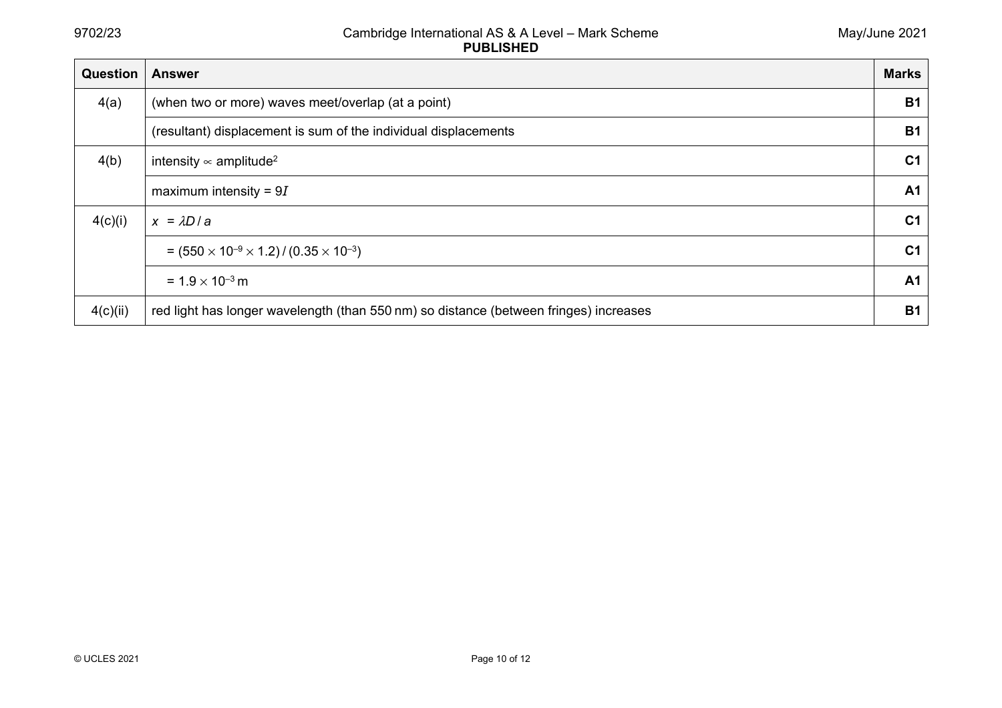| Question | <b>Answer</b>                                                                         | <b>Marks</b>   |
|----------|---------------------------------------------------------------------------------------|----------------|
| 4(a)     | (when two or more) waves meet/overlap (at a point)                                    | <b>B1</b>      |
|          | (resultant) displacement is sum of the individual displacements                       | <b>B1</b>      |
| 4(b)     | intensity $\infty$ amplitude <sup>2</sup>                                             | C <sub>1</sub> |
|          | maximum intensity = $9I$                                                              | A <sub>1</sub> |
| 4(c)(i)  | $x = \lambda D/a$                                                                     | C <sub>1</sub> |
|          | $=$ (550 $\times$ 10 <sup>-9</sup> $\times$ 1.2)/(0.35 $\times$ 10 <sup>-3</sup> )    | C <sub>1</sub> |
|          | $= 1.9 \times 10^{-3}$ m                                                              | A <sub>1</sub> |
| 4(c)(ii) | red light has longer wavelength (than 550 nm) so distance (between fringes) increases | <b>B1</b>      |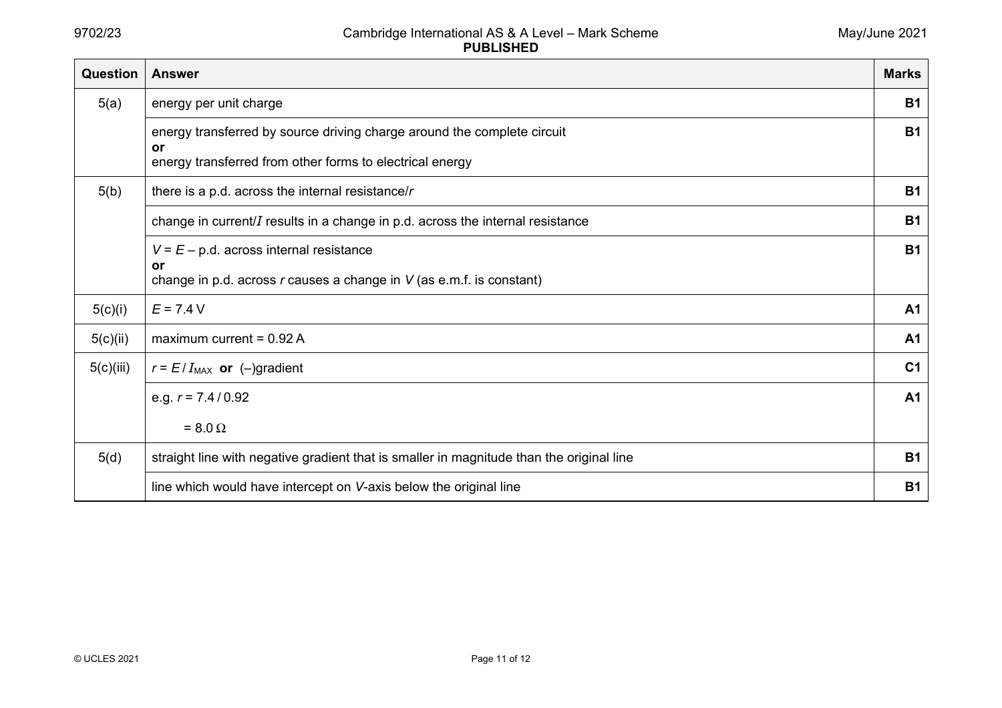| Question  | <b>Answer</b>                                                                            | <b>Marks</b>   |
|-----------|------------------------------------------------------------------------------------------|----------------|
| 5(a)      | energy per unit charge                                                                   | <b>B1</b>      |
|           | energy transferred by source driving charge around the complete circuit                  | <b>B1</b>      |
|           | or<br>energy transferred from other forms to electrical energy                           |                |
| 5(b)      | there is a p.d. across the internal resistance/ $r$                                      | <b>B1</b>      |
|           | change in current/ $I$ results in a change in p.d. across the internal resistance        | <b>B1</b>      |
|           | $V = E - p.d.$ across internal resistance                                                | <b>B1</b>      |
|           | or<br>change in p.d. across $r$ causes a change in $V$ (as e.m.f. is constant)           |                |
| 5(c)(i)   | $E = 7.4 V$                                                                              | A <sub>1</sub> |
| 5(c)(ii)  | maximum current = $0.92 A$                                                               | A <sub>1</sub> |
| 5(c)(iii) | $r = E/I_{MAX}$ or (-)gradient                                                           | C <sub>1</sub> |
|           | e.g. $r = 7.4/0.92$                                                                      | <b>A1</b>      |
|           | $= 8.0 \Omega$                                                                           |                |
| 5(d)      | straight line with negative gradient that is smaller in magnitude than the original line | <b>B1</b>      |
|           | line which would have intercept on V-axis below the original line                        | <b>B1</b>      |